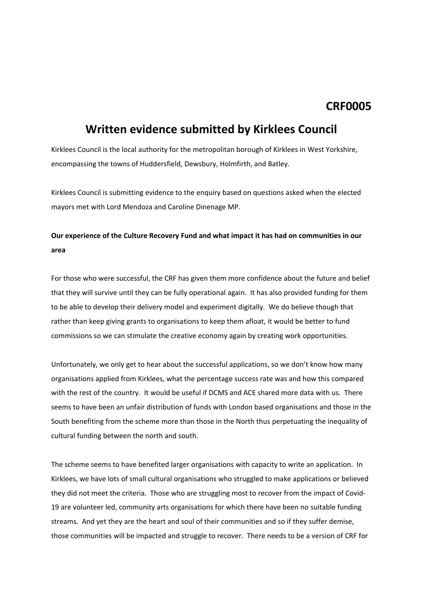## **CRF0005**

# **Written evidence submitted by Kirklees Council**

Kirklees Council is the local authority for the metropolitan borough of Kirklees in West Yorkshire, encompassing the towns of Huddersfield, Dewsbury, Holmfirth, and Batley.

Kirklees Council is submitting evidence to the enquiry based on questions asked when the elected mayors met with Lord Mendoza and Caroline Dinenage MP.

#### **Our experience of the Culture Recovery Fund and what impact it has had on communities in our area**

For those who were successful, the CRF has given them more confidence about the future and belief that they will survive until they can be fully operational again. It has also provided funding for them to be able to develop their delivery model and experiment digitally. We do believe though that rather than keep giving grants to organisations to keep them afloat, it would be better to fund commissions so we can stimulate the creative economy again by creating work opportunities.

Unfortunately, we only get to hear about the successful applications, so we don't know how many organisations applied from Kirklees, what the percentage success rate was and how this compared with the rest of the country. It would be useful if DCMS and ACE shared more data with us. There seems to have been an unfair distribution of funds with London based organisations and those in the South benefiting from the scheme more than those in the North thus perpetuating the inequality of cultural funding between the north and south.

The scheme seems to have benefited larger organisations with capacity to write an application. In Kirklees, we have lots of small cultural organisations who struggled to make applications or believed they did not meet the criteria. Those who are struggling most to recover from the impact of Covid-19 are volunteer led, community arts organisations for which there have been no suitable funding streams. And yet they are the heart and soul of their communities and so if they suffer demise, those communities will be impacted and struggle to recover. There needs to be a version of CRF for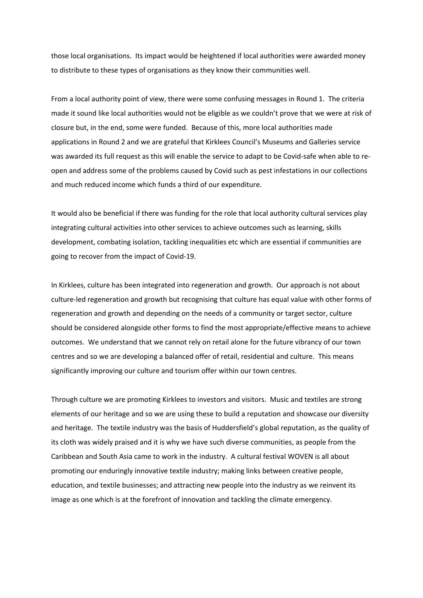those local organisations. Its impact would be heightened if local authorities were awarded money to distribute to these types of organisations as they know their communities well.

From a local authority point of view, there were some confusing messages in Round 1. The criteria made it sound like local authorities would not be eligible as we couldn't prove that we were at risk of closure but, in the end, some were funded. Because of this, more local authorities made applications in Round 2 and we are grateful that Kirklees Council's Museums and Galleries service was awarded its full request as this will enable the service to adapt to be Covid-safe when able to reopen and address some of the problems caused by Covid such as pest infestations in our collections and much reduced income which funds a third of our expenditure.

It would also be beneficial if there was funding for the role that local authority cultural services play integrating cultural activities into other services to achieve outcomes such as learning, skills development, combating isolation, tackling inequalities etc which are essential if communities are going to recover from the impact of Covid-19.

In Kirklees, culture has been integrated into regeneration and growth. Our approach is not about culture-led regeneration and growth but recognising that culture has equal value with other forms of regeneration and growth and depending on the needs of a community or target sector, culture should be considered alongside other forms to find the most appropriate/effective means to achieve outcomes. We understand that we cannot rely on retail alone for the future vibrancy of our town centres and so we are developing a balanced offer of retail, residential and culture. This means significantly improving our culture and tourism offer within our town centres.

Through culture we are promoting Kirklees to investors and visitors. Music and textiles are strong elements of our heritage and so we are using these to build a reputation and showcase our diversity and heritage. The textile industry was the basis of Huddersfield's global reputation, as the quality of its cloth was widely praised and it is why we have such diverse communities, as people from the Caribbean and South Asia came to work in the industry. A cultural festival WOVEN is all about promoting our enduringly innovative textile industry; making links between creative people, education, and textile businesses; and attracting new people into the industry as we reinvent its image as one which is at the forefront of innovation and tackling the climate emergency.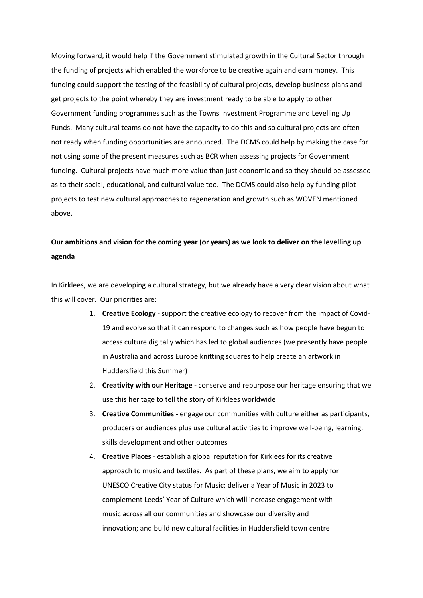Moving forward, it would help if the Government stimulated growth in the Cultural Sector through the funding of projects which enabled the workforce to be creative again and earn money. This funding could support the testing of the feasibility of cultural projects, develop business plans and get projects to the point whereby they are investment ready to be able to apply to other Government funding programmes such as the Towns Investment Programme and Levelling Up Funds. Many cultural teams do not have the capacity to do this and so cultural projects are often not ready when funding opportunities are announced. The DCMS could help by making the case for not using some of the present measures such as BCR when assessing projects for Government funding. Cultural projects have much more value than just economic and so they should be assessed as to their social, educational, and cultural value too. The DCMS could also help by funding pilot projects to test new cultural approaches to regeneration and growth such as WOVEN mentioned above.

#### Our ambitions and vision for the coming year (or years) as we look to deliver on the levelling up **agenda**

In Kirklees, we are developing a cultural strategy, but we already have a very clear vision about what this will cover. Our priorities are:

- 1. **Creative Ecology** support the creative ecology to recover from the impact of Covid-19 and evolve so that it can respond to changes such as how people have begun to access culture digitally which has led to global audiences (we presently have people in Australia and across Europe knitting squares to help create an artwork in Huddersfield this Summer)
- 2. **Creativity with our Heritage** conserve and repurpose our heritage ensuring that we use this heritage to tell the story of Kirklees worldwide
- 3. **Creative Communities -** engage our communities with culture either as participants, producers or audiences plus use cultural activities to improve well-being, learning, skills development and other outcomes
- 4. **Creative Places** establish a global reputation for Kirklees for its creative approach to music and textiles. As part of these plans, we aim to apply for UNESCO Creative City status for Music; deliver a Year of Music in 2023 to complement Leeds' Year of Culture which will increase engagement with music across all our communities and showcase our diversity and innovation; and build new cultural facilities in Huddersfield town centre